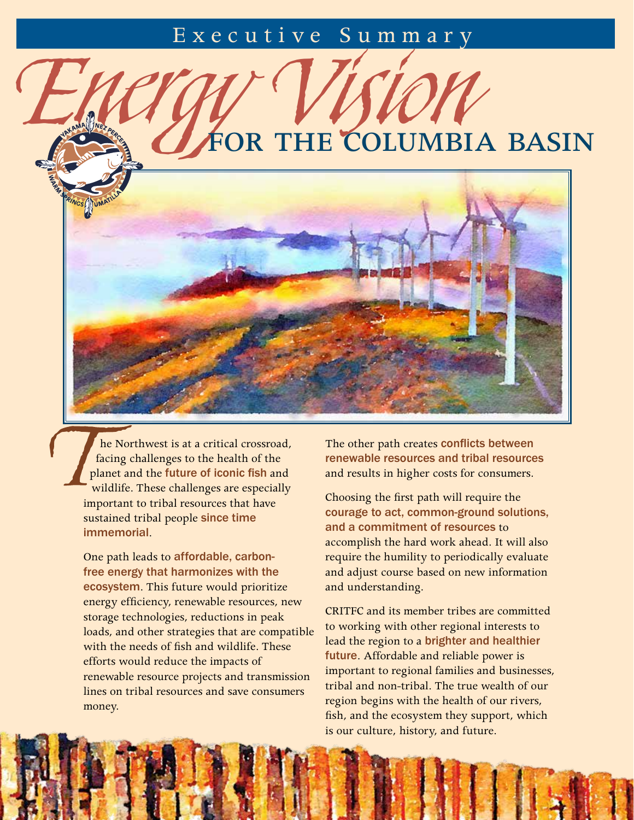## Executive Summary

FOR THE COLUMBIA BASIN

he Northwest is at a critical crossroad, facing challenges to the health of the planet and the future of iconic fish and wildlife. These challenges are especially important to tribal resources that have sustained tribal people since time immemorial.

One path leads to affordable, carbonfree energy that harmonizes with the ecosystem. This future would prioritize energy efficiency, renewable resources, new storage technologies, reductions in peak loads, and other strategies that are compatible with the needs of fish and wildlife. These efforts would reduce the impacts of renewable resource projects and transmission lines on tribal resources and save consumers money.

The other path creates conflicts between renewable resources and tribal resources and results in higher costs for consumers.

Choosing the first path will require the courage to act, common-ground solutions, and a commitment of resources to accomplish the hard work ahead. It will also require the humility to periodically evaluate and adjust course based on new information and understanding.

CRITFC and its member tribes are committed to working with other regional interests to lead the region to a brighter and healthier future. Affordable and reliable power is important to regional families and businesses, tribal and non-tribal. The true wealth of our region begins with the health of our rivers, fish, and the ecosystem they support, which is our culture, history, and future.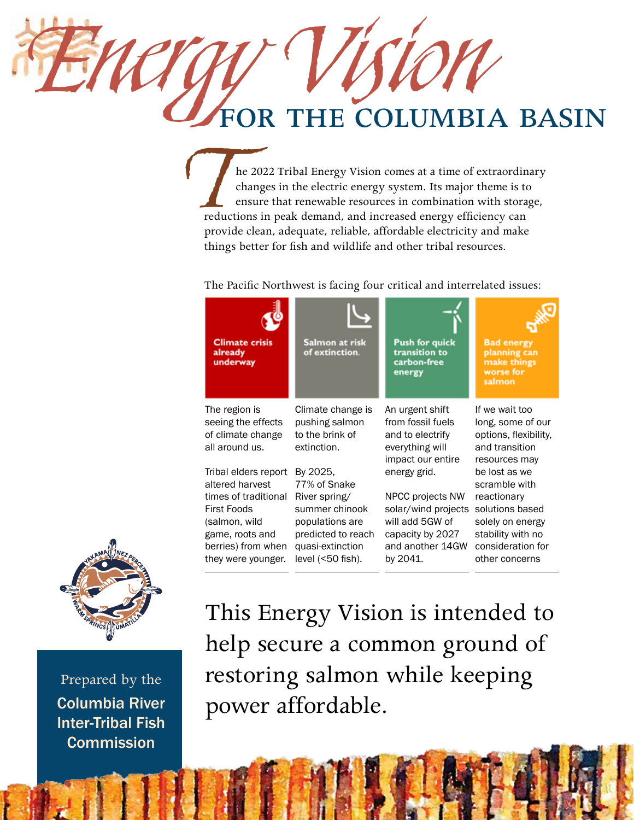## FOR THE COLUMBIA BASIN

The 2022 Tribal Energy Vision comes at a time of extraordinary<br>
changes in the electric energy system. Its major theme is to<br>
ensure that renewable resources in combination with storage,<br>
reductions in peak demand, and inc changes in the electric energy system. Its major theme is to ensure that renewable resources in combination with storage, provide clean, adequate, reliable, affordable electricity and make things better for fish and wildlife and other tribal resources.

The Pacific Northwest is facing four critical and interrelated issues:

| <b>Climate crisis</b><br>already<br>underway                                                                                                                   | Salmon at risk<br>of extinction.                                                                                                               | <b>Push for quick</b><br>transition to<br>carbon-free<br>energy                                                                | <b>Bad energy</b><br>planning can<br>make things<br>worse for<br>salmon                                                                          |
|----------------------------------------------------------------------------------------------------------------------------------------------------------------|------------------------------------------------------------------------------------------------------------------------------------------------|--------------------------------------------------------------------------------------------------------------------------------|--------------------------------------------------------------------------------------------------------------------------------------------------|
| The region is<br>seeing the effects<br>of climate change<br>all around us.                                                                                     | Climate change is<br>pushing salmon<br>to the brink of<br>extinction.                                                                          | An urgent shift<br>from fossil fuels<br>and to electrify<br>everything will<br>impact our entire                               | If we wait too<br>long, some of our<br>options, flexibility,<br>and transition<br>resources may                                                  |
| Tribal elders report<br>altered harvest<br>times of traditional<br>First Foods<br>(salmon, wild<br>game, roots and<br>berries) from when<br>they were younger. | By 2025,<br>77% of Snake<br>River spring/<br>summer chinook<br>populations are<br>predicted to reach<br>quasi-extinction<br>level $(50$ fish). | energy grid.<br>NPCC projects NW<br>solar/wind projects<br>will add 5GW of<br>capacity by 2027<br>and another 14GW<br>by 2041. | be lost as we<br>scramble with<br>reactionary<br>solutions based<br>solely on energy<br>stability with no<br>consideration for<br>other concerns |



Prepared by the Columbia River Inter-Tribal Fish **Commission** 

This Energy Vision is intended to help secure a common ground of restoring salmon while keeping power affordable.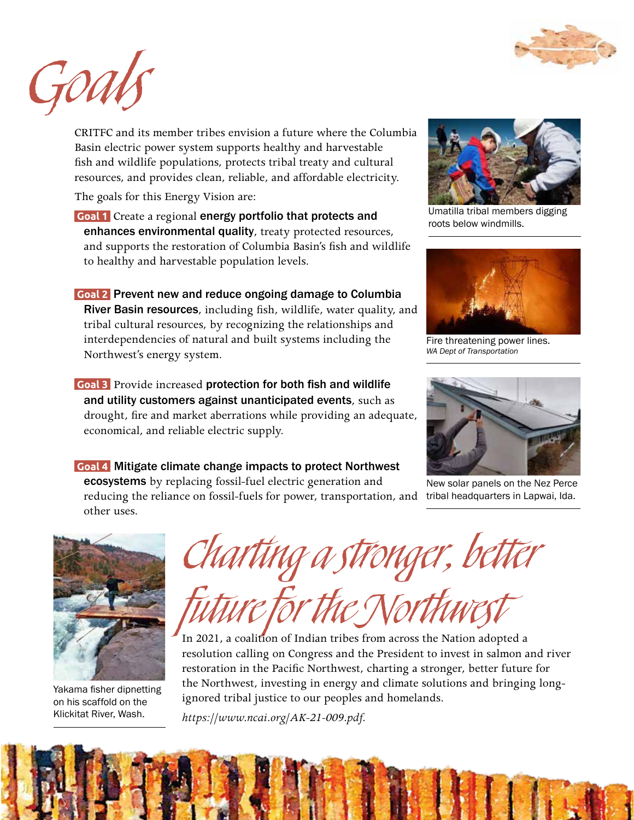



CRITFC and its member tribes envision a future where the Columbia Basin electric power system supports healthy and harvestable fish and wildlife populations, protects tribal treaty and cultural resources, and provides clean, reliable, and affordable electricity.

The goals for this Energy Vision are:

- **Goal 1** Create a regional energy portfolio that protects and enhances environmental quality, treaty protected resources, and supports the restoration of Columbia Basin's fish and wildlife to healthy and harvestable population levels.
- **Goal 2** Prevent new and reduce ongoing damage to Columbia River Basin resources, including fish, wildlife, water quality, and tribal cultural resources, by recognizing the relationships and interdependencies of natural and built systems including the Northwest's energy system.
- **Goal 3** Provide increased protection for both fish and wildlife and utility customers against unanticipated events, such as drought, fire and market aberrations while providing an adequate, economical, and reliable electric supply.
- **Goal 4** Mitigate climate change impacts to protect Northwest ecosystems by replacing fossil-fuel electric generation and reducing the reliance on fossil-fuels for power, transportation, and tribal headquarters in Lapwai, Ida. other uses.



Umatilla tribal members digging roots below windmills.



Fire threatening power lines. *WA Dept of Transportation*



New solar panels on the Nez Perce



Yakama fisher dipnetting on his scaffold on the Klickitat River, Wash.

Charting a stronger, better

future for the Northwest

In 2021, a coalition of Indian tribes from across the Nation adopted a resolution calling on Congress and the President to invest in salmon and river restoration in the Pacific Northwest, charting a stronger, better future for the Northwest, investing in energy and climate solutions and bringing longignored tribal justice to our peoples and homelands.

*https://www.ncai.org/AK-21-009.pdf.*